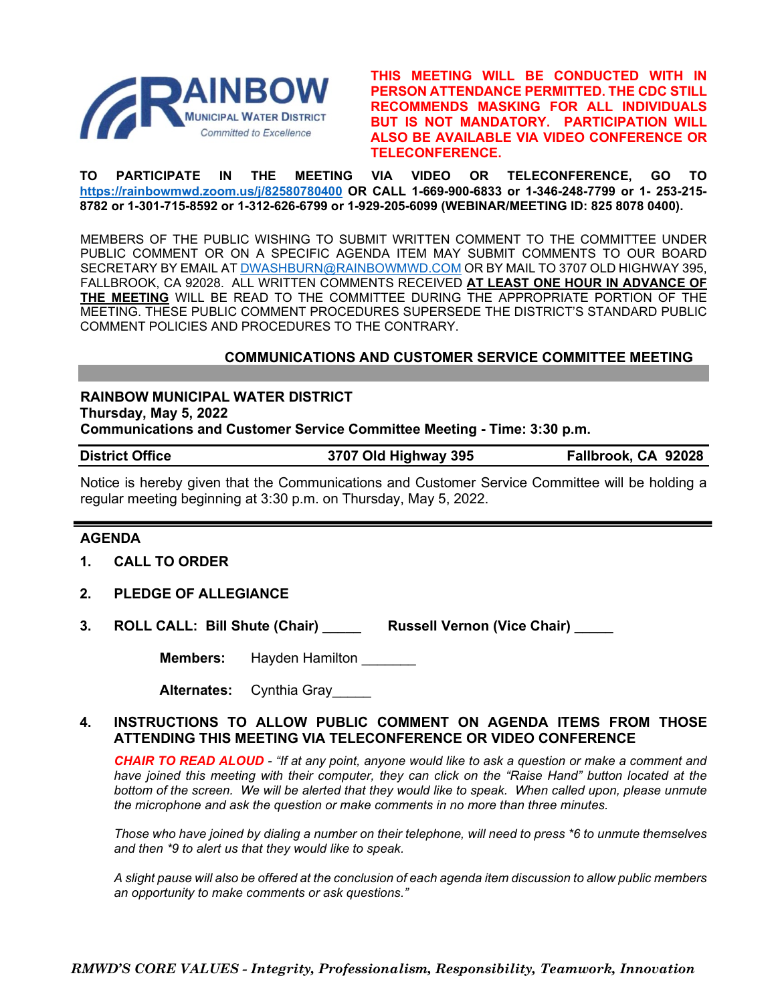

**THIS MEETING WILL BE CONDUCTED WITH IN PERSON ATTENDANCE PERMITTED. THE CDC STILL RECOMMENDS MASKING FOR ALL INDIVIDUALS BUT IS NOT MANDATORY. PARTICIPATION WILL ALSO BE AVAILABLE VIA VIDEO CONFERENCE OR TELECONFERENCE.**

**TO PARTICIPATE IN THE MEETING VIA VIDEO OR TELECONFERENCE, GO TO <https://rainbowmwd.zoom.us/j/82580780400> OR CALL 1-669-900-6833 or 1-346-248-7799 or 1- 253-215- 8782 or 1-301-715-8592 or 1-312-626-6799 or 1-929-205-6099 (WEBINAR/MEETING ID: 825 8078 0400).**

MEMBERS OF THE PUBLIC WISHING TO SUBMIT WRITTEN COMMENT TO THE COMMITTEE UNDER PUBLIC COMMENT OR ON A SPECIFIC AGENDA ITEM MAY SUBMIT COMMENTS TO OUR BOARD SECRETARY BY EMAIL A[T DWASHBURN@RAINBOWMWD.COM](mailto:DWASHBURN@RAINBOWMWD.COM) OR BY MAIL TO 3707 OLD HIGHWAY 395, FALLBROOK, CA 92028. ALL WRITTEN COMMENTS RECEIVED **AT LEAST ONE HOUR IN ADVANCE OF THE MEETING** WILL BE READ TO THE COMMITTEE DURING THE APPROPRIATE PORTION OF THE MEETING. THESE PUBLIC COMMENT PROCEDURES SUPERSEDE THE DISTRICT'S STANDARD PUBLIC COMMENT POLICIES AND PROCEDURES TO THE CONTRARY.

## **COMMUNICATIONS AND CUSTOMER SERVICE COMMITTEE MEETING**

## **RAINBOW MUNICIPAL WATER DISTRICT Thursday, May 5, 2022**

**Communications and Customer Service Committee Meeting - Time: 3:30 p.m.**

| <b>District Office</b> | 3707 Old Highway 395 | Fallbrook, CA 92028 |
|------------------------|----------------------|---------------------|
|------------------------|----------------------|---------------------|

Notice is hereby given that the Communications and Customer Service Committee will be holding a regular meeting beginning at 3:30 p.m. on Thursday, May 5, 2022.

## **AGENDA**

- **1. CALL TO ORDER**
- **2. PLEDGE OF ALLEGIANCE**
- **3. ROLL CALL: Bill Shute (Chair) \_\_\_\_\_ Russell Vernon (Vice Chair) \_\_\_\_\_**

**Members:** Hayden Hamilton

| <b>Alternates:</b> | Cynthia Gray |  |
|--------------------|--------------|--|
|--------------------|--------------|--|

## **4. INSTRUCTIONS TO ALLOW PUBLIC COMMENT ON AGENDA ITEMS FROM THOSE ATTENDING THIS MEETING VIA TELECONFERENCE OR VIDEO CONFERENCE**

*CHAIR TO READ ALOUD - "If at any point, anyone would like to ask a question or make a comment and have joined this meeting with their computer, they can click on the "Raise Hand" button located at the bottom of the screen. We will be alerted that they would like to speak. When called upon, please unmute the microphone and ask the question or make comments in no more than three minutes.*

*Those who have joined by dialing a number on their telephone, will need to press \*6 to unmute themselves and then \*9 to alert us that they would like to speak.*

*A slight pause will also be offered at the conclusion of each agenda item discussion to allow public members an opportunity to make comments or ask questions."*